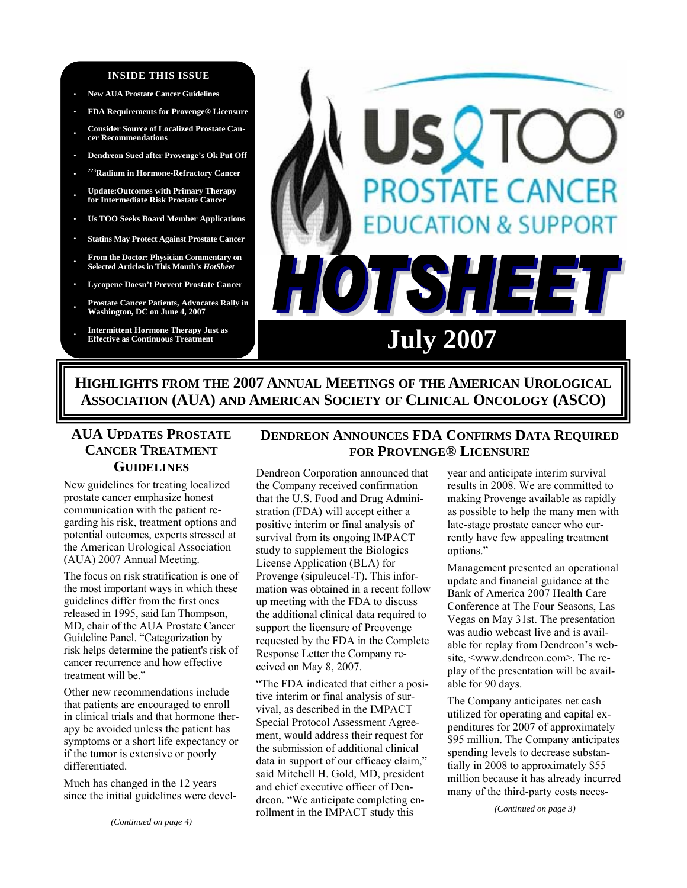#### **INSIDE THIS ISSUE**

- **· New AUA Prostate Cancer Guidelines**
- **· FDA Requirements for Provenge® Licensure**
- **· Consider Source of Localized Prostate Cancer Recommendations**
- **· Dendreon Sued after Provenge's Ok Put Off**
- **· 223Radium in Hormone-Refractory Cancer**
- **· Update:Outcomes with Primary Therapy for Intermediate Risk Prostate Cancer**
- **· Us TOO Seeks Board Member Applications**
- **· Statins May Protect Against Prostate Cancer**
- **· From the Doctor: Physician Commentary on Selected Articles in This Month's** *HotSheet*
- **· Lycopene Doesn't Prevent Prostate Cancer**
- **· Prostate Cancer Patients, Advocates Rally in Washington, DC on June 4, 2007**
- **Intermittent Hormone Therapy Just as<br>
<b>Effective as Continuous Treatment**



**DENDREON ANNOUNCES FDA CONFIRMS DATA REQUIRED FOR PROVENGE® LICENSURE**

**HIGHLIGHTS FROM THE 2007 ANNUAL MEETINGS OF THE AMERICAN UROLOGICAL ASSOCIATION (AUA) AND AMERICAN SOCIETY OF CLINICAL ONCOLOGY (ASCO)** 

# **AUA UPDATES PROSTATE CANCER TREATMENT GUIDELINES**

New guidelines for treating localized prostate cancer emphasize honest communication with the patient regarding his risk, treatment options and potential outcomes, experts stressed at the American Urological Association (AUA) 2007 Annual Meeting.

The focus on risk stratification is one of the most important ways in which these guidelines differ from the first ones released in 1995, said Ian Thompson, MD, chair of the AUA Prostate Cancer Guideline Panel. "Categorization by risk helps determine the patient's risk of cancer recurrence and how effective treatment will be."

Other new recommendations include that patients are encouraged to enroll in clinical trials and that hormone therapy be avoided unless the patient has symptoms or a short life expectancy or if the tumor is extensive or poorly differentiated.

Much has changed in the 12 years since the initial guidelines were devel-

Dendreon Corporation announced that the Company received confirmation that the U.S. Food and Drug Administration (FDA) will accept either a positive interim or final analysis of survival from its ongoing IMPACT study to supplement the Biologics License Application (BLA) for Provenge (sipuleucel-T). This information was obtained in a recent follow up meeting with the FDA to discuss the additional clinical data required to support the licensure of Preovenge requested by the FDA in the Complete Response Letter the Company received on May 8, 2007.

"The FDA indicated that either a positive interim or final analysis of survival, as described in the IMPACT Special Protocol Assessment Agreement, would address their request for the submission of additional clinical data in support of our efficacy claim," said Mitchell H. Gold, MD, president and chief executive officer of Dendreon. "We anticipate completing enrollment in the IMPACT study this

year and anticipate interim survival results in 2008. We are committed to making Provenge available as rapidly as possible to help the many men with late-stage prostate cancer who currently have few appealing treatment options."

Management presented an operational update and financial guidance at the Bank of America 2007 Health Care Conference at The Four Seasons, Las Vegas on May 31st. The presentation was audio webcast live and is available for replay from Dendreon's website, <www.dendreon.com>. The replay of the presentation will be available for 90 days.

The Company anticipates net cash utilized for operating and capital expenditures for 2007 of approximately \$95 million. The Company anticipates spending levels to decrease substantially in 2008 to approximately \$55 million because it has already incurred many of the third-party costs neces-

*(Continued on page 3)*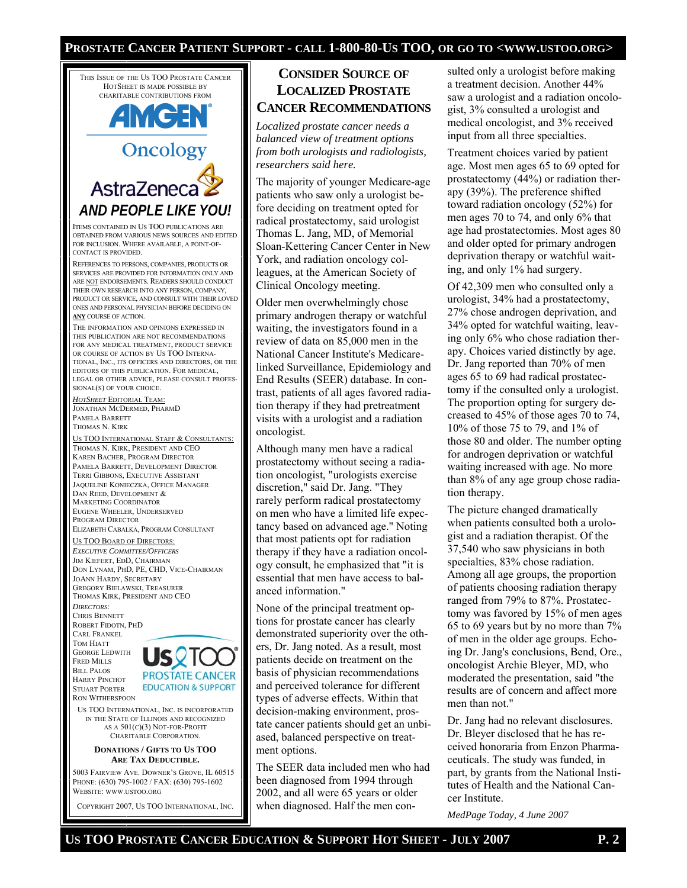#### **PROSTATE CANCER PATIENT SUPPORT - CALL 1-800-80-US TOO, OR GO TO <WWW.USTOO.ORG>**

THIS ISSUE OF THE US TOO PROSTATE CANCER HOTSHEET IS MADE POSSIBLE BY CHARITABLE CONTRIBUTIONS FROM

# **AMGEN** Oncology

AstraZeneca *AND PEOPLE LIKE YOU!*  ITEMS CONTAINED IN US TOO PUBLICATIONS ARE

OBTAINED FROM VARIOUS NEWS SOURCES AND EDITED FOR INCLUSION. WHERE AVAILABLE, A POINT-OF-CONTACT IS PROVIDED.

REFERENCES TO PERSONS, COMPANIES, PRODUCTS OR SERVICES ARE PROVIDED FOR INFORMATION ONLY AND ARE NOT ENDORSEMENTS. READERS SHOULD CONDUCT THEIR OWN RESEARCH INTO ANY PERSON, COMPANY, PRODUCT OR SERVICE, AND CONSULT WITH THEIR LOVED ONES AND PERSONAL PHYSICIAN BEFORE DECIDING ON **ANY** COURSE OF ACTION.

THE INFORMATION AND OPINIONS EXPRESSED IN THIS PUBLICATION ARE NOT RECOMMENDATIONS FOR ANY MEDICAL TREATMENT, PRODUCT SERVICE OR COURSE OF ACTION BY US TOO INTERNA-TIONAL, INC., ITS OFFICERS AND DIRECTORS, OR THE EDITORS OF THIS PUBLICATION. FOR MEDICAL, LEGAL OR OTHER ADVICE, PLEASE CONSULT PROFES-SIONAL(S) OF YOUR CHOICE.

*HOTSHEET* EDITORIAL TEAM: JONATHAN MCDERMED, PHARMD PAMELA BARRETT THOMAS N. KIRK

US TOO INTERNATIONAL STAFF & CONSULTANTS: THOMAS N. KIRK, PRESIDENT AND CEO KAREN BACHER, PROGRAM DIRECTOR PAMELA BARRETT, DEVELOPMENT DIRECTOR TERRI GIBBONS, EXECUTIVE ASSISTANT JAQUELINE KONIECZKA, OFFICE MANAGER DAN REED, DEVELOPMENT & MARKETING COORDINATOR EUGENE WHEELER, UNDERSERVED PROGRAM DIRECTOR ELIZABETH CABALKA, PROGRAM CONSULTANT

# US TOO BOARD OF DIRECTORS:

*EXECUTIVE COMMITTEE/OFFICERS* JIM KIEFERT, EDD, CHAIRMAN DON LYNAM, PHD, PE, CHD, VICE-CHAIRMAN JOANN HARDY, SECRETARY GREGORY BIELAWSKI, TREASURER THOMAS KIRK, PRESIDENT AND CEO *DIRECTORS:* 

CHRIS BENNETT ROBERT FIDOTN, PHD CARL FRANKEL TOM HIATT GEORGE LEDWITH FRED MILLS BILL PALOS HARRY PINCHOT STUART PORTER

RON WITHERSPOON



US TOO INTERNATIONAL, INC. IS INCORPORATED IN THE STATE OF ILLINOIS AND RECOGNIZED AS A 501(C)(3) NOT-FOR-PROFIT CHARITABLE CORPORATION.

#### **DONATIONS / GIFTS TO US TOO ARE TAX DEDUCTIBLE.**

5003 FAIRVIEW AVE. DOWNER'S GROVE, IL 60515 PHONE: (630) 795-1002 / FAX: (630) 795-1602 WEBSITE: WWW.USTOO.ORG

COPYRIGHT 2007, US TOO INTERNATIONAL, INC.

### **CONSIDER SOURCE OF LOCALIZED PROSTATE CANCER RECOMMENDATIONS**

*Localized prostate cancer needs a balanced view of treatment options from both urologists and radiologists, researchers said here.* 

The majority of younger Medicare-age patients who saw only a urologist before deciding on treatment opted for radical prostatectomy, said urologist Thomas L. Jang, MD, of Memorial Sloan-Kettering Cancer Center in New York, and radiation oncology colleagues, at the American Society of Clinical Oncology meeting.

Older men overwhelmingly chose primary androgen therapy or watchful waiting, the investigators found in a review of data on 85,000 men in the National Cancer Institute's Medicarelinked Surveillance, Epidemiology and End Results (SEER) database. In contrast, patients of all ages favored radiation therapy if they had pretreatment visits with a urologist and a radiation oncologist.

Although many men have a radical prostatectomy without seeing a radiation oncologist, "urologists exercise discretion," said Dr. Jang. "They rarely perform radical prostatectomy on men who have a limited life expectancy based on advanced age." Noting that most patients opt for radiation therapy if they have a radiation oncology consult, he emphasized that "it is essential that men have access to balanced information."

None of the principal treatment options for prostate cancer has clearly demonstrated superiority over the others, Dr. Jang noted. As a result, most patients decide on treatment on the basis of physician recommendations and perceived tolerance for different types of adverse effects. Within that decision-making environment, prostate cancer patients should get an unbiased, balanced perspective on treatment options.

The SEER data included men who had been diagnosed from 1994 through 2002, and all were 65 years or older when diagnosed. Half the men con-

sulted only a urologist before making a treatment decision. Another 44% saw a urologist and a radiation oncologist, 3% consulted a urologist and medical oncologist, and 3% received input from all three specialties.

Treatment choices varied by patient age. Most men ages 65 to 69 opted for prostatectomy (44%) or radiation therapy (39%). The preference shifted toward radiation oncology (52%) for men ages 70 to 74, and only 6% that age had prostatectomies. Most ages 80 and older opted for primary androgen deprivation therapy or watchful waiting, and only 1% had surgery.

Of 42,309 men who consulted only a urologist, 34% had a prostatectomy, 27% chose androgen deprivation, and 34% opted for watchful waiting, leaving only 6% who chose radiation therapy. Choices varied distinctly by age. Dr. Jang reported than 70% of men ages 65 to 69 had radical prostatectomy if the consulted only a urologist. The proportion opting for surgery decreased to 45% of those ages 70 to 74, 10% of those 75 to 79, and 1% of those 80 and older. The number opting for androgen deprivation or watchful waiting increased with age. No more than 8% of any age group chose radiation therapy.

The picture changed dramatically when patients consulted both a urologist and a radiation therapist. Of the 37,540 who saw physicians in both specialties, 83% chose radiation. Among all age groups, the proportion of patients choosing radiation therapy ranged from 79% to 87%. Prostatectomy was favored by 15% of men ages 65 to 69 years but by no more than 7% of men in the older age groups. Echoing Dr. Jang's conclusions, Bend, Ore., oncologist Archie Bleyer, MD, who moderated the presentation, said "the results are of concern and affect more men than not."

Dr. Jang had no relevant disclosures. Dr. Bleyer disclosed that he has received honoraria from Enzon Pharmaceuticals. The study was funded, in part, by grants from the National Institutes of Health and the National Cancer Institute.

*MedPage Today, 4 June 2007*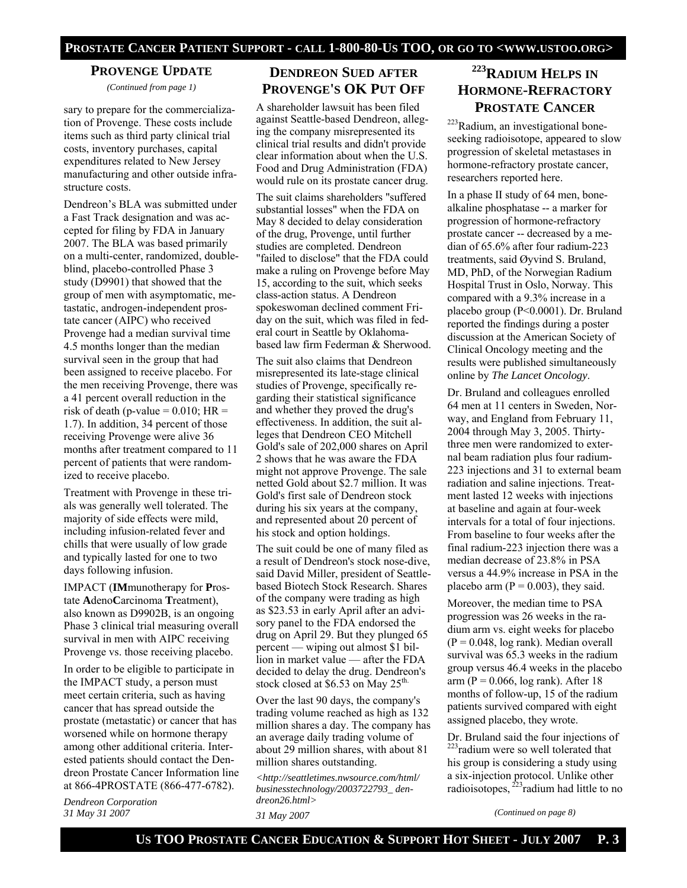#### **PROVENGE UPDATE**

*(Continued from page 1)* 

sary to prepare for the commercialization of Provenge. These costs include items such as third party clinical trial costs, inventory purchases, capital expenditures related to New Jersey manufacturing and other outside infrastructure costs.

Dendreon's BLA was submitted under a Fast Track designation and was accepted for filing by FDA in January 2007. The BLA was based primarily on a multi-center, randomized, doubleblind, placebo-controlled Phase 3 study (D9901) that showed that the group of men with asymptomatic, metastatic, androgen-independent prostate cancer (AIPC) who received Provenge had a median survival time 4.5 months longer than the median survival seen in the group that had been assigned to receive placebo. For the men receiving Provenge, there was a 41 percent overall reduction in the risk of death (p-value =  $0.010$ ; HR = 1.7). In addition, 34 percent of those receiving Provenge were alive 36 months after treatment compared to 11 percent of patients that were randomized to receive placebo.

Treatment with Provenge in these trials was generally well tolerated. The majority of side effects were mild, including infusion-related fever and chills that were usually of low grade and typically lasted for one to two days following infusion.

IMPACT (**IM**munotherapy for **P**rostate **A**deno**C**arcinoma **T**reatment), also known as D9902B, is an ongoing Phase 3 clinical trial measuring overall survival in men with AIPC receiving Provenge vs. those receiving placebo.

In order to be eligible to participate in the IMPACT study, a person must meet certain criteria, such as having cancer that has spread outside the prostate (metastatic) or cancer that has worsened while on hormone therapy among other additional criteria. Interested patients should contact the Dendreon Prostate Cancer Information line at 866-4PROSTATE (866-477-6782).

*Dendreon Corporation 31 May 31 2007* 

#### **DENDREON SUED AFTER PROVENGE'S OK PUT OFF**

A shareholder lawsuit has been filed against Seattle-based Dendreon, alleging the company misrepresented its clinical trial results and didn't provide clear information about when the U.S. Food and Drug Administration (FDA) would rule on its prostate cancer drug.

The suit claims shareholders "suffered substantial losses" when the FDA on May 8 decided to delay consideration of the drug, Provenge, until further studies are completed. Dendreon "failed to disclose" that the FDA could make a ruling on Provenge before May 15, according to the suit, which seeks class-action status. A Dendreon spokeswoman declined comment Friday on the suit, which was filed in federal court in Seattle by Oklahomabased law firm Federman & Sherwood.

The suit also claims that Dendreon misrepresented its late-stage clinical studies of Provenge, specifically regarding their statistical significance and whether they proved the drug's effectiveness. In addition, the suit alleges that Dendreon CEO Mitchell Gold's sale of 202,000 shares on April 2 shows that he was aware the FDA might not approve Provenge. The sale netted Gold about \$2.7 million. It was Gold's first sale of Dendreon stock during his six years at the company, and represented about 20 percent of his stock and option holdings.

The suit could be one of many filed as a result of Dendreon's stock nose-dive, said David Miller, president of Seattlebased Biotech Stock Research. Shares of the company were trading as high as \$23.53 in early April after an advisory panel to the FDA endorsed the drug on April 29. But they plunged 65 percent — wiping out almost \$1 billion in market value — after the FDA decided to delay the drug. Dendreon's stock closed at \$6.53 on May  $25^{\text{th}}$ .

Over the last 90 days, the company's trading volume reached as high as 132 million shares a day. The company has an average daily trading volume of about 29 million shares, with about 81 million shares outstanding.

*<http://seattletimes.nwsource.com/html/ businesstechnology/2003722793\_ dendreon26.html> 31 May 2007* 

# **223RADIUM HELPS IN HORMONE-REFRACTORY PROSTATE CANCER**

223Radium, an investigational boneseeking radioisotope, appeared to slow progression of skeletal metastases in hormone-refractory prostate cancer, researchers reported here.

In a phase II study of 64 men, bonealkaline phosphatase -- a marker for progression of hormone-refractory prostate cancer -- decreased by a median of 65.6% after four radium-223 treatments, said Øyvind S. Bruland, MD, PhD, of the Norwegian Radium Hospital Trust in Oslo, Norway. This compared with a 9.3% increase in a placebo group (P<0.0001). Dr. Bruland reported the findings during a poster discussion at the American Society of Clinical Oncology meeting and the results were published simultaneously online by *The Lancet Oncology*.

Dr. Bruland and colleagues enrolled 64 men at 11 centers in Sweden, Norway, and England from February 11, 2004 through May 3, 2005. Thirtythree men were randomized to external beam radiation plus four radium-223 injections and 31 to external beam radiation and saline injections. Treatment lasted 12 weeks with injections at baseline and again at four-week intervals for a total of four injections. From baseline to four weeks after the final radium-223 injection there was a median decrease of 23.8% in PSA versus a 44.9% increase in PSA in the placebo arm ( $P = 0.003$ ), they said.

Moreover, the median time to PSA progression was 26 weeks in the radium arm vs. eight weeks for placebo  $(P = 0.048, \log \text{rank})$ . Median overall survival was 65.3 weeks in the radium group versus 46.4 weeks in the placebo arm ( $P = 0.066$ , log rank). After 18 months of follow-up, 15 of the radium patients survived compared with eight assigned placebo, they wrote.

Dr. Bruland said the four injections of 223radium were so well tolerated that his group is considering a study using a six-injection protocol. Unlike other radioisotopes,  $^{223}$ radium had little to no

*(Continued on page 8)*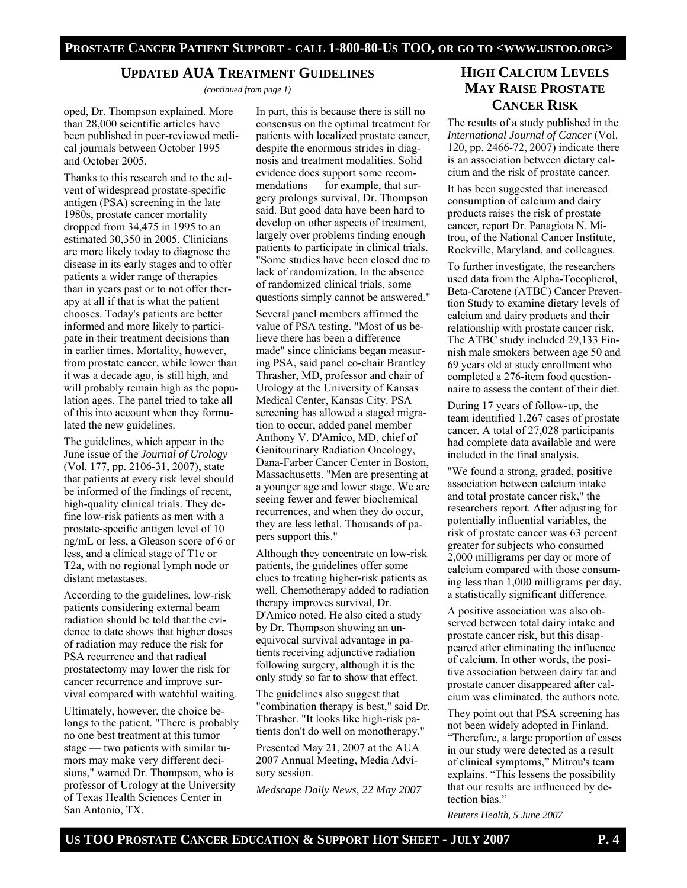#### **UPDATED AUA TREATMENT GUIDELINES**

*(continued from page 1)* 

oped, Dr. Thompson explained. More than 28,000 scientific articles have been published in peer-reviewed medical journals between October 1995 and October 2005.

Thanks to this research and to the advent of widespread prostate-specific antigen (PSA) screening in the late 1980s, prostate cancer mortality dropped from 34,475 in 1995 to an estimated 30,350 in 2005. Clinicians are more likely today to diagnose the disease in its early stages and to offer patients a wider range of therapies than in years past or to not offer therapy at all if that is what the patient chooses. Today's patients are better informed and more likely to participate in their treatment decisions than in earlier times. Mortality, however, from prostate cancer, while lower than it was a decade ago, is still high, and will probably remain high as the population ages. The panel tried to take all of this into account when they formulated the new guidelines.

The guidelines, which appear in the June issue of the *Journal of Urology*  (Vol. 177, pp. 2106-31, 2007), state that patients at every risk level should be informed of the findings of recent, high-quality clinical trials. They define low-risk patients as men with a prostate-specific antigen level of 10 ng/mL or less, a Gleason score of 6 or less, and a clinical stage of T1c or T2a, with no regional lymph node or distant metastases.

According to the guidelines, low-risk patients considering external beam radiation should be told that the evidence to date shows that higher doses of radiation may reduce the risk for PSA recurrence and that radical prostatectomy may lower the risk for cancer recurrence and improve survival compared with watchful waiting.

Ultimately, however, the choice belongs to the patient. "There is probably no one best treatment at this tumor stage — two patients with similar tumors may make very different decisions," warned Dr. Thompson, who is professor of Urology at the University of Texas Health Sciences Center in San Antonio, TX.

In part, this is because there is still no consensus on the optimal treatment for patients with localized prostate cancer, despite the enormous strides in diagnosis and treatment modalities. Solid evidence does support some recommendations — for example, that surgery prolongs survival, Dr. Thompson said. But good data have been hard to develop on other aspects of treatment, largely over problems finding enough patients to participate in clinical trials. "Some studies have been closed due to lack of randomization. In the absence of randomized clinical trials, some questions simply cannot be answered."

Several panel members affirmed the value of PSA testing. "Most of us believe there has been a difference made" since clinicians began measuring PSA, said panel co-chair Brantley Thrasher, MD, professor and chair of Urology at the University of Kansas Medical Center, Kansas City. PSA screening has allowed a staged migration to occur, added panel member Anthony V. D'Amico, MD, chief of Genitourinary Radiation Oncology, Dana-Farber Cancer Center in Boston, Massachusetts. "Men are presenting at a younger age and lower stage. We are seeing fewer and fewer biochemical recurrences, and when they do occur, they are less lethal. Thousands of papers support this."

Although they concentrate on low-risk patients, the guidelines offer some clues to treating higher-risk patients as well. Chemotherapy added to radiation therapy improves survival, Dr. D'Amico noted. He also cited a study by Dr. Thompson showing an unequivocal survival advantage in patients receiving adjunctive radiation following surgery, although it is the only study so far to show that effect.

The guidelines also suggest that "combination therapy is best," said Dr. Thrasher. "It looks like high-risk patients don't do well on monotherapy."

Presented May 21, 2007 at the AUA 2007 Annual Meeting, Media Advisory session.

*Medscape Daily News, 22 May 2007* 

# **HIGH CALCIUM LEVELS MAY RAISE PROSTATE CANCER RISK**

The results of a study published in the *International Journal of Cancer* (Vol. 120, pp. 2466-72, 2007) indicate there is an association between dietary calcium and the risk of prostate cancer.

It has been suggested that increased consumption of calcium and dairy products raises the risk of prostate cancer, report Dr. Panagiota N. Mitrou, of the National Cancer Institute, Rockville, Maryland, and colleagues.

To further investigate, the researchers used data from the Alpha-Tocopherol, Beta-Carotene (ATBC) Cancer Prevention Study to examine dietary levels of calcium and dairy products and their relationship with prostate cancer risk. The ATBC study included 29,133 Finnish male smokers between age 50 and 69 years old at study enrollment who completed a 276-item food questionnaire to assess the content of their diet.

During 17 years of follow-up, the team identified 1,267 cases of prostate cancer. A total of 27,028 participants had complete data available and were included in the final analysis.

"We found a strong, graded, positive association between calcium intake and total prostate cancer risk," the researchers report. After adjusting for potentially influential variables, the risk of prostate cancer was 63 percent greater for subjects who consumed 2,000 milligrams per day or more of calcium compared with those consuming less than 1,000 milligrams per day, a statistically significant difference.

A positive association was also observed between total dairy intake and prostate cancer risk, but this disappeared after eliminating the influence of calcium. In other words, the positive association between dairy fat and prostate cancer disappeared after calcium was eliminated, the authors note.

They point out that PSA screening has not been widely adopted in Finland. "Therefore, a large proportion of cases in our study were detected as a result of clinical symptoms," Mitrou's team explains. "This lessens the possibility that our results are influenced by detection bias."

*Reuters Health, 5 June 2007*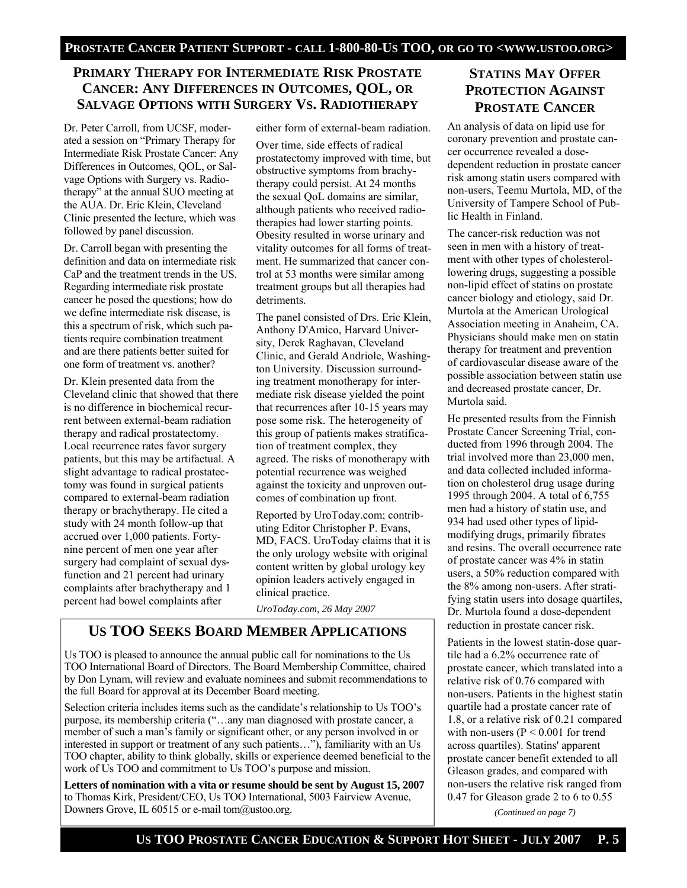#### **PRIMARY THERAPY FOR INTERMEDIATE RISK PROSTATE CANCER: ANY DIFFERENCES IN OUTCOMES, QOL, OR SALVAGE OPTIONS WITH SURGERY VS. RADIOTHERAPY**

Dr. Peter Carroll, from UCSF, moderated a session on "Primary Therapy for Intermediate Risk Prostate Cancer: Any Differences in Outcomes, QOL, or Salvage Options with Surgery vs. Radiotherapy" at the annual SUO meeting at the AUA. Dr. Eric Klein, Cleveland Clinic presented the lecture, which was followed by panel discussion.

Dr. Carroll began with presenting the definition and data on intermediate risk CaP and the treatment trends in the US. Regarding intermediate risk prostate cancer he posed the questions; how do we define intermediate risk disease, is this a spectrum of risk, which such patients require combination treatment and are there patients better suited for one form of treatment vs. another?

Dr. Klein presented data from the Cleveland clinic that showed that there is no difference in biochemical recurrent between external-beam radiation therapy and radical prostatectomy. Local recurrence rates favor surgery patients, but this may be artifactual. A slight advantage to radical prostatectomy was found in surgical patients compared to external-beam radiation therapy or brachytherapy. He cited a study with 24 month follow-up that accrued over 1,000 patients. Fortynine percent of men one year after surgery had complaint of sexual dysfunction and 21 percent had urinary complaints after brachytherapy and 1 percent had bowel complaints after

either form of external-beam radiation.

Over time, side effects of radical prostatectomy improved with time, but obstructive symptoms from brachytherapy could persist. At 24 months the sexual QoL domains are similar, although patients who received radiotherapies had lower starting points. Obesity resulted in worse urinary and vitality outcomes for all forms of treatment. He summarized that cancer control at 53 months were similar among treatment groups but all therapies had detriments.

The panel consisted of Drs. Eric Klein, Anthony D'Amico, Harvard University, Derek Raghavan, Cleveland Clinic, and Gerald Andriole, Washington University. Discussion surrounding treatment monotherapy for intermediate risk disease yielded the point that recurrences after 10-15 years may pose some risk. The heterogeneity of this group of patients makes stratification of treatment complex, they agreed. The risks of monotherapy with potential recurrence was weighed against the toxicity and unproven outcomes of combination up front.

Reported by UroToday.com; contributing Editor Christopher P. Evans, MD, FACS. UroToday claims that it is the only urology website with original content written by global urology key opinion leaders actively engaged in clinical practice.

*UroToday.com, 26 May 2007* 

#### **US TOO SEEKS BOARD MEMBER APPLICATIONS**

Us TOO is pleased to announce the annual public call for nominations to the Us TOO International Board of Directors. The Board Membership Committee, chaired by Don Lynam, will review and evaluate nominees and submit recommendations to the full Board for approval at its December Board meeting.

Selection criteria includes items such as the candidate's relationship to Us TOO's purpose, its membership criteria ("…any man diagnosed with prostate cancer, a member of such a man's family or significant other, or any person involved in or interested in support or treatment of any such patients…"), familiarity with an Us TOO chapter, ability to think globally, skills or experience deemed beneficial to the work of Us TOO and commitment to Us TOO's purpose and mission.

**Letters of nomination with a vita or resume should be sent by August 15, 2007** to Thomas Kirk, President/CEO, Us TOO International, 5003 Fairview Avenue, Downers Grove, IL 60515 or e-mail tom@ustoo.org.

# **STATINS MAY OFFER PROTECTION AGAINST PROSTATE CANCER**

An analysis of data on lipid use for coronary prevention and prostate cancer occurrence revealed a dosedependent reduction in prostate cancer risk among statin users compared with non-users, Teemu Murtola, MD, of the University of Tampere School of Public Health in Finland.

The cancer-risk reduction was not seen in men with a history of treatment with other types of cholesterollowering drugs, suggesting a possible non-lipid effect of statins on prostate cancer biology and etiology, said Dr. Murtola at the American Urological Association meeting in Anaheim, CA. Physicians should make men on statin therapy for treatment and prevention of cardiovascular disease aware of the possible association between statin use and decreased prostate cancer, Dr. Murtola said.

He presented results from the Finnish Prostate Cancer Screening Trial, conducted from 1996 through 2004. The trial involved more than 23,000 men, and data collected included information on cholesterol drug usage during 1995 through 2004. A total of 6,755 men had a history of statin use, and 934 had used other types of lipidmodifying drugs, primarily fibrates and resins. The overall occurrence rate of prostate cancer was 4% in statin users, a 50% reduction compared with the 8% among non-users. After stratifying statin users into dosage quartiles, Dr. Murtola found a dose-dependent reduction in prostate cancer risk.

Patients in the lowest statin-dose quartile had a 6.2% occurrence rate of prostate cancer, which translated into a relative risk of 0.76 compared with non-users. Patients in the highest statin quartile had a prostate cancer rate of 1.8, or a relative risk of 0.21 compared with non-users (P < 0.001 for trend across quartiles). Statins' apparent prostate cancer benefit extended to all Gleason grades, and compared with non-users the relative risk ranged from 0.47 for Gleason grade 2 to 6 to 0.55

*(Continued on page 7)*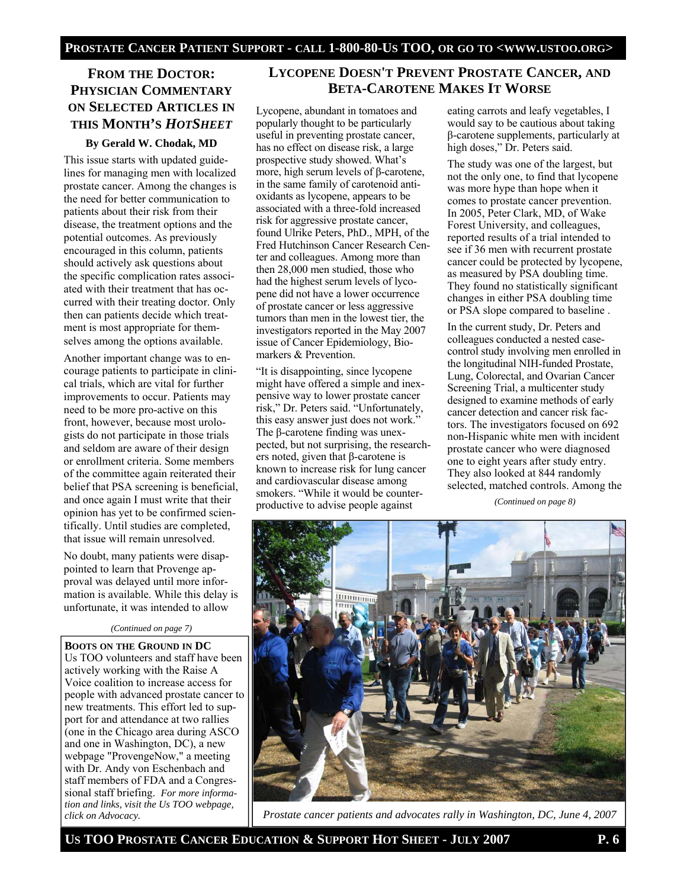# **FROM THE DOCTOR: PHYSICIAN COMMENTARY ON SELECTED ARTICLES IN THIS MONTH'S** *HOTSHEET*

#### **By Gerald W. Chodak, MD**

This issue starts with updated guidelines for managing men with localized prostate cancer. Among the changes is the need for better communication to patients about their risk from their disease, the treatment options and the potential outcomes. As previously encouraged in this column, patients should actively ask questions about the specific complication rates associated with their treatment that has occurred with their treating doctor. Only then can patients decide which treatment is most appropriate for themselves among the options available.

Another important change was to encourage patients to participate in clinical trials, which are vital for further improvements to occur. Patients may need to be more pro-active on this front, however, because most urologists do not participate in those trials and seldom are aware of their design or enrollment criteria. Some members of the committee again reiterated their belief that PSA screening is beneficial, and once again I must write that their opinion has yet to be confirmed scientifically. Until studies are completed, that issue will remain unresolved.

No doubt, many patients were disappointed to learn that Provenge approval was delayed until more information is available. While this delay is unfortunate, it was intended to allow

#### *(Continued on page 7)*

**BOOTS ON THE GROUND IN DC**  Us TOO volunteers and staff have been actively working with the Raise A Voice coalition to increase access for people with advanced prostate cancer to new treatments. This effort led to support for and attendance at two rallies (one in the Chicago area during ASCO and one in Washington, DC), a new webpage "ProvengeNow," a meeting with Dr. Andy von Eschenbach and staff members of FDA and a Congressional staff briefing. *For more information and links, visit the Us TOO webpage, click on Advocacy.* 

#### **LYCOPENE DOESN'T PREVENT PROSTATE CANCER, AND BETA-CAROTENE MAKES IT WORSE**

Lycopene, abundant in tomatoes and popularly thought to be particularly useful in preventing prostate cancer, has no effect on disease risk, a large prospective study showed. What's more, high serum levels of β-carotene, in the same family of carotenoid antioxidants as lycopene, appears to be associated with a three-fold increased risk for aggressive prostate cancer, found Ulrike Peters, PhD., MPH, of the Fred Hutchinson Cancer Research Center and colleagues. Among more than then 28,000 men studied, those who had the highest serum levels of lycopene did not have a lower occurrence of prostate cancer or less aggressive tumors than men in the lowest tier, the investigators reported in the May 2007 issue of Cancer Epidemiology, Biomarkers & Prevention.

"It is disappointing, since lycopene might have offered a simple and inexpensive way to lower prostate cancer risk," Dr. Peters said. "Unfortunately, this easy answer just does not work." The β-carotene finding was unexpected, but not surprising, the researchers noted, given that β-carotene is known to increase risk for lung cancer and cardiovascular disease among smokers. "While it would be counterproductive to advise people against

eating carrots and leafy vegetables, I would say to be cautious about taking β-carotene supplements, particularly at high doses," Dr. Peters said.

The study was one of the largest, but not the only one, to find that lycopene was more hype than hope when it comes to prostate cancer prevention. In 2005, Peter Clark, MD, of Wake Forest University, and colleagues, reported results of a trial intended to see if 36 men with recurrent prostate cancer could be protected by lycopene, as measured by PSA doubling time. They found no statistically significant changes in either PSA doubling time or PSA slope compared to baseline .

In the current study, Dr. Peters and colleagues conducted a nested casecontrol study involving men enrolled in the longitudinal NIH-funded Prostate, Lung, Colorectal, and Ovarian Cancer Screening Trial, a multicenter study designed to examine methods of early cancer detection and cancer risk factors. The investigators focused on 692 non-Hispanic white men with incident prostate cancer who were diagnosed one to eight years after study entry. They also looked at 844 randomly selected, matched controls. Among the

*(Continued on page 8)* 



*Prostate cancer patients and advocates rally in Washington, DC, June 4, 2007*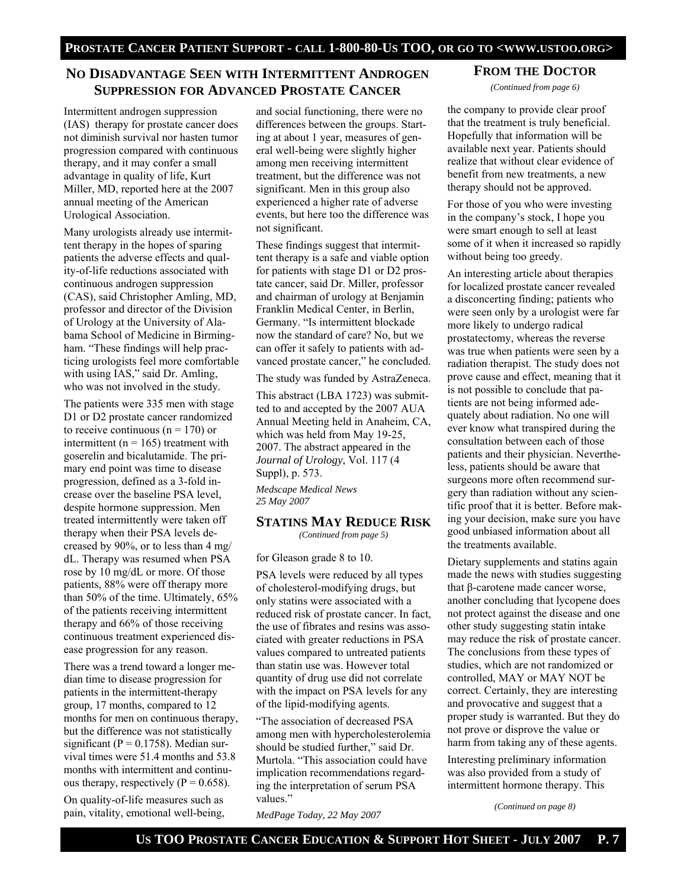# **NO DISADVANTAGE SEEN WITH INTERMITTENT ANDROGEN SUPPRESSION FOR ADVANCED PROSTATE CANCER**

Intermittent androgen suppression (IAS) therapy for prostate cancer does not diminish survival nor hasten tumor progression compared with continuous therapy, and it may confer a small advantage in quality of life, Kurt Miller, MD, reported here at the 2007 annual meeting of the American Urological Association.

Many urologists already use intermittent therapy in the hopes of sparing patients the adverse effects and quality-of-life reductions associated with continuous androgen suppression (CAS), said Christopher Amling, MD, professor and director of the Division of Urology at the University of Alabama School of Medicine in Birmingham. "These findings will help practicing urologists feel more comfortable with using IAS," said Dr. Amling, who was not involved in the study.

The patients were 335 men with stage D1 or D2 prostate cancer randomized to receive continuous ( $n = 170$ ) or intermittent ( $n = 165$ ) treatment with goserelin and bicalutamide. The primary end point was time to disease progression, defined as a 3-fold increase over the baseline PSA level, despite hormone suppression. Men treated intermittently were taken off therapy when their PSA levels decreased by 90%, or to less than 4 mg/ dL. Therapy was resumed when PSA rose by 10 mg/dL or more. Of those patients, 88% were off therapy more than 50% of the time. Ultimately, 65% of the patients receiving intermittent therapy and 66% of those receiving continuous treatment experienced disease progression for any reason.

There was a trend toward a longer median time to disease progression for patients in the intermittent-therapy group, 17 months, compared to 12 months for men on continuous therapy, but the difference was not statistically significant ( $P = 0.1758$ ). Median survival times were 51.4 months and 53.8 months with intermittent and continuous therapy, respectively ( $P = 0.658$ ).

On quality-of-life measures such as pain, vitality, emotional well-being, and social functioning, there were no differences between the groups. Starting at about 1 year, measures of general well-being were slightly higher among men receiving intermittent treatment, but the difference was not significant. Men in this group also experienced a higher rate of adverse events, but here too the difference was not significant.

These findings suggest that intermittent therapy is a safe and viable option for patients with stage D1 or D2 prostate cancer, said Dr. Miller, professor and chairman of urology at Benjamin Franklin Medical Center, in Berlin, Germany. "Is intermittent blockade now the standard of care? No, but we can offer it safely to patients with advanced prostate cancer," he concluded.

The study was funded by AstraZeneca.

This abstract (LBA 1723) was submitted to and accepted by the 2007 AUA Annual Meeting held in Anaheim, CA, which was held from May 19-25, 2007. The abstract appeared in the *Journal of Urology*, Vol. 117 (4 Suppl), p. 573.

*Medscape Medical News 25 May 2007* 

#### **STATINS MAY REDUCE RISK**

*(Continued from page 5)* 

for Gleason grade 8 to 10.

PSA levels were reduced by all types of cholesterol-modifying drugs, but only statins were associated with a reduced risk of prostate cancer. In fact, the use of fibrates and resins was associated with greater reductions in PSA values compared to untreated patients than statin use was. However total quantity of drug use did not correlate with the impact on PSA levels for any of the lipid-modifying agents.

"The association of decreased PSA among men with hypercholesterolemia should be studied further," said Dr. Murtola. "This association could have implication recommendations regarding the interpretation of serum PSA values."

*MedPage Today, 22 May 2007* 

**FROM THE DOCTOR** *(Continued from page 6)* 

the company to provide clear proof that the treatment is truly beneficial. Hopefully that information will be available next year. Patients should realize that without clear evidence of benefit from new treatments, a new therapy should not be approved.

For those of you who were investing in the company's stock, I hope you were smart enough to sell at least some of it when it increased so rapidly without being too greedy.

An interesting article about therapies for localized prostate cancer revealed a disconcerting finding; patients who were seen only by a urologist were far more likely to undergo radical prostatectomy, whereas the reverse was true when patients were seen by a radiation therapist. The study does not prove cause and effect, meaning that it is not possible to conclude that patients are not being informed adequately about radiation. No one will ever know what transpired during the consultation between each of those patients and their physician. Nevertheless, patients should be aware that surgeons more often recommend surgery than radiation without any scientific proof that it is better. Before making your decision, make sure you have good unbiased information about all the treatments available.

Dietary supplements and statins again made the news with studies suggesting that β-carotene made cancer worse, another concluding that lycopene does not protect against the disease and one other study suggesting statin intake may reduce the risk of prostate cancer. The conclusions from these types of studies, which are not randomized or controlled, MAY or MAY NOT be correct. Certainly, they are interesting and provocative and suggest that a proper study is warranted. But they do not prove or disprove the value or harm from taking any of these agents.

Interesting preliminary information was also provided from a study of intermittent hormone therapy. This

*(Continued on page 8)*